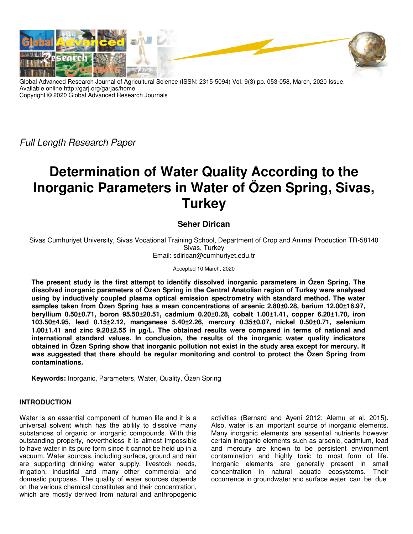

Global Advanced Research Journal of Agricultural Science (ISSN: 2315-5094) Vol. 9(3) pp. 053-058, March, 2020 Issue. Available online http://garj.org/garjas/home Copyright © 2020 Global Advanced Research Journals

Full Length Research Paper

# **Determination of Water Quality According to the Inorganic Parameters in Water of Özen Spring, Sivas, Turkey**

## **Seher Dirican**

Sivas Cumhuriyet University, Sivas Vocational Training School, Department of Crop and Animal Production TR-58140 Sivas, Turkey Email: sdirican@cumhuriyet.edu.tr

Accepted 10 March, 2020

**The present study is the first attempt to identify dissolved inorganic parameters in Özen Spring. The dissolved inorganic parameters of Özen Spring in the Central Anatolian region of Turkey were analysed using by inductively coupled plasma optical emission spectrometry with standard method. The water samples taken from Özen Spring has a mean concentrations of arsenic 2.80±0.28, barium 12.00±16.97, beryllium 0.50±0.71, boron 95.50±20.51, cadmium 0.20±0.28, cobalt 1.00±1.41, copper 6.20±1.70, iron 103.50±4.95, lead 0.15±2.12, manganese 5.40±2.26, mercury 0.35±0.07, nickel 0.50±0.71, selenium 1.00±1.41 and zinc 9.20±2.55 in µg/L. The obtained results were compared in terms of national and international standard values. In conclusion, the results of the inorganic water quality indicators obtained in Özen Spring show that inorganic pollution not exist in the study area except for mercury. It was suggested that there should be regular monitoring and control to protect the Özen Spring from contaminations.** 

**Keywords:** Inorganic, Parameters, Water, Quality, Özen Spring

#### **INTRODUCTION**

Water is an essential component of human life and it is a universal solvent which has the ability to dissolve many substances of organic or inorganic compounds. With this outstanding property, nevertheless it is almost impossible to have water in its pure form since it cannot be held up in a vacuum. Water sources, including surface, ground and rain are supporting drinking water supply, livestock needs, irrigation, industrial and many other commercial and domestic purposes. The quality of water sources depends on the various chemical constitutes and their concentration, which are mostly derived from natural and anthropogenic

activities (Bernard and Ayeni 2012; Alemu et al. 2015). Also, water is an important source of inorganic elements. Many inorganic elements are essential nutrients however certain inorganic elements such as arsenic, cadmium, lead and mercury are known to be persistent environment contamination and highly toxic to most form of life. Inorganic elements are generally present in small concentration in natural aquatic ecosystems. Their occurrence in groundwater and surface water can be due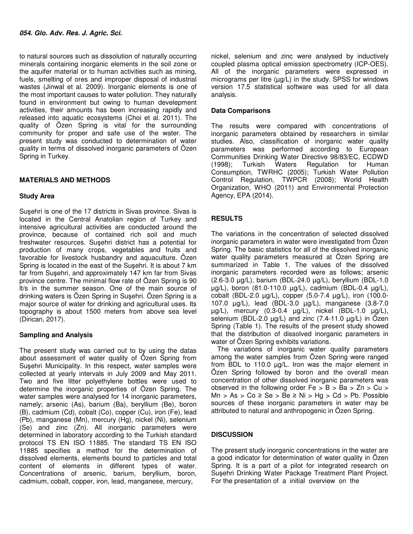to natural sources such as dissolution of naturally occurring minerals containing inorganic elements in the soil zone or the aquifer material or to human activities such as mining, fuels, smelting of ores and improper disposal of industrial wastes (Jinwal et al. 2009). Inorganic elements is one of the most important causes to water pollution. They naturally found in environment but owing to human develepment activities, their amounts has been increasing rapidly and released into aquatic ecosystems (Choi et al. 2011). The quality of Özen Spring is vital for the surrounding community for proper and safe use of the water. The present study was conducted to determination of water quality in terms of dissolved inorganic parameters of Özen Spring in Turkey.

### **MATERIALS AND METHODS**

#### **Study Area**

Suşehri is one of the 17 districts in Sivas province. Sivas is located in the Central Anatolian region of Turkey and intensive agricultural activities are conducted around the province, because of contained rich soil and much freshwater resources. Suşehri district has a potential for production of many crops, vegetables and fruits and favorable for livestock husbandry and aquaculture. Özen Spring is located in the east of the Suşehri. It is about 7 km far from Suşehri, and approximately 147 km far from Sivas province centre. The minimal flow rate of Özen Spring is 90 lt/s in the summer season. One of the main source of drinking waters is Özen Spring in Suşehri. Özen Spring is a major source of water for drinking and agricultural uses. Its topography is about 1500 meters from above sea level (Dirican, 2017).

#### **Sampling and Analysis**

The present study was carried out to by using the datas about assessment of water quality of Özen Spring from Suşehri Municipality. In this respect, water samples were collected at yearly intervals in July 2009 and May 2011. Two and five litter polyethylene bottles were used to determine the inorganic properties of Özen Spring. The water samples were analysed for 14 inorganic parameters, namely; arsenic (As), barium (Ba), beryllium (Be), boron (B), cadmium (Cd), cobalt (Co), copper (Cu), iron (Fe), lead (Pb), manganese (Mn), mercury (Hg), nickel (Ni), selenium (Se) and zinc (Zn). All inorganic parameters were determined in laboratory according to the Turkish standard protocol TS EN ISO 11885. The standard TS EN ISO 11885 specifies a method for the determination of dissolved elements, elements bound to particles and total content of elements in different types of water. Concentrations of arsenic, barium, beryllium, boron, cadmium, cobalt, copper, iron, lead, manganese, mercury,

nickel, selenium and zinc were analysed by inductively coupled plasma optical emission spectrometry (ICP-OES). All of the inorganic parameters were expressed in micrograms per litre (µg/L) in the study. SPSS for windows version 17.5 statistical software was used for all data analysis.

#### **Data Comparisons**

The results were compared with concentrations of inorganic parameters obtained by researchers in similar studies. Also, classification of inorganic water quality parameters was performed according to European Communities Drinking Water Directive 98/83/EC, ECDWD (1998); Turkish Waters Regulation for Human Consumption, TWRHC (2005); Turkish Water Pollution Control Regulation, TWPCR (2008); World Health Organization, WHO (2011) and Environmental Protection Agency, EPA (2014).

#### **RESULTS**

The variations in the concentration of selected dissolved inorganic parameters in water were investigated from Özen Spring. The basic statistics for all of the dissolved inorganic water quality parameters measured at Özen Spring are summarized in Table 1. The values of the dissolved inorganic parameters recorded were as follows; arsenic (2.6-3.0 µg/L), barium (BDL-24.0 µg/L), beryllium (BDL-1.0 µg/L), boron (81.0-110.0 µg/L), cadmium (BDL-0.4 µg/L), cobalt (BDL-2.0 µg/L), copper (5.0-7.4 µg/L), iron (100.0- 107.0 µg/L), lead (BDL-3.0 µg/L), manganese (3.8-7.0 µg/L), mercury (0.3-0.4 µg/L), nickel (BDL-1.0 µg/L), selenium (BDL-2.0  $\mu$ g/L) and zinc (7.4-11.0  $\mu$ g/L) in Özen Spring (Table 1). The results of the present study showed that the distribution of dissolved inorganic parameters in water of Özen Spring exhibits variations.

The variations of inorganic water quality parameters among the water samples from Özen Spring were ranged from BDL to 110.0 µg/L. Iron was the major element in Özen Spring followed by boron and the overall mean concentration of other dissolved inorganic parameters was observed in the following order  $Fe > B > Ba > Zn > Cu >$ Mn > As > Co  $\ge$  Se > Be  $\ge$  Ni > Hg > Cd > Pb. Possible sources of these inorganic parameters in water may be attributed to natural and anthropogenic in Özen Spring.

#### **DISCUSSION**

The present study inorganic concentrations in the water are a good indicator for determination of water quality in Özen Spring. It is a part of a pilot for integrated research on Suşehri Drinking Water Package Treatment Plant Project. For the presentation of a initial overview on the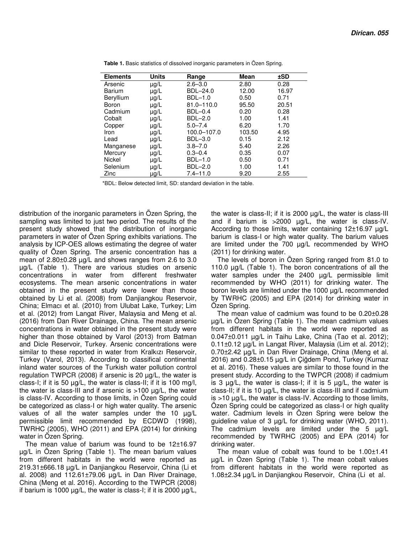| <b>Elements</b> | Units     | Range          | <b>Mean</b> | ±SD   |
|-----------------|-----------|----------------|-------------|-------|
| Arsenic         | $\mu$ g/L | $2.6 - 3.0$    | 2.80        | 0.28  |
| <b>Barium</b>   | µg/L      | BDL-24.0       | 12.00       | 16.97 |
| Beryllium       | µg/L      | BDL-1.0        | 0.50        | 0.71  |
| Boron           | µg/L      | 81.0-110.0     | 95.50       | 20.51 |
| Cadmium         | μg/L      | <b>BDL-0.4</b> | 0.20        | 0.28  |
| Cobalt          | $\mu$ g/L | BDL-2.0        | 1.00        | 1.41  |
| Copper          | μg/L      | $5.0 - 7.4$    | 6.20        | 1.70  |
| Iron            | $\mu$ g/L | 100.0-107.0    | 103.50      | 4.95  |
| Lead            | µg/L      | BDL-3.0        | 0.15        | 2.12  |
| Manganese       | µg/L      | $3.8 - 7.0$    | 5.40        | 2.26  |
| Mercury         | μg/L      | $0.3 - 0.4$    | 0.35        | 0.07  |
| Nickel          | µg/L      | BDL-1.0        | 0.50        | 0.71  |
| Selenium        | $\mu g/L$ | BDL-2.0        | 1.00        | 1.41  |
| Zinc            | μg/L      | $7.4 - 11.0$   | 9.20        | 2.55  |

 **Table 1.** Basic statistics of dissolved inorganic parameters in Özen Spring.

\*BDL: Below detected limit, SD: standard deviation in the table.

distribution of the inorganic parameters in Özen Spring, the sampling was limited to just two period. The results of the present study showed that the distribution of inorganic parameters in water of Özen Spring exhibits variations. The analysis by ICP-OES allows estimating the degree of water quality of Özen Spring. The arsenic concentration has a mean of 2.80±0.28 µg/L and shows ranges from 2.6 to 3.0 µg/L (Table 1). There are various studies on arsenic concentrations in water from different freshwater ecosystems. The mean arsenic concentrations in water obtained in the present study were lower than those obtained by Li et al. (2008) from Danjiangkou Reservoir, China; Elmacı et al. (2010) from Ulubat Lake, Turkey; Lim et al. (2012) from Langat River, Malaysia and Meng et al. (2016) from Dan River Drainage, China. The mean arsenic concentrations in water obtained in the present study were higher than those obtained by Varol (2013) from Batman and Dicle Reservoir, Turkey. Arsenic concentrations were similar to these reported in water from Kralkızı Reservoir, Turkey (Varol, 2013). According to classifical continental inland water sources of the Turkish water pollution control regulation TWPCR (2008) if arsenic is 20 µg/L, the water is class-I; if it is 50 µg/L, the water is class-II; if it is 100 mg/l, the water is class-III and if arsenic is >100 µg/L, the water is class-IV. According to those limits, in Özen Spring could be categorized as class-I or high water quality. The arsenic values of all the water samples under the 10 µg/L permissible limit recommended by ECDWD (1998), TWRHC (2005), WHO (2011) and EPA (2014) for drinking water in Özen Spring.

The mean value of barium was found to be 12±16.97 µg/L in Özen Spring (Table 1). The mean barium values from different habitats in the world were reported as 219.31±666.18 µg/L in Danjiangkou Reservoir, China (Li et al. 2008) and  $112.61 \pm 79.06$   $\mu$ g/L in Dan River Drainage, China (Meng et al. 2016). According to the TWPCR (2008) if barium is 1000 µg/L, the water is class-I; if it is 2000 µg/L,

the water is class-II; if it is 2000 µg/L, the water is class-III and if barium is  $>2000$   $\mu$ g/L, the water is class-IV. According to those limits, water containing 12±16.97 µg/L barium is class-I or high water quality. The barium values are limited under the 700 µg/L recommended by WHO (2011) for drinking water.

The levels of boron in Özen Spring ranged from 81.0 to 110.0  $\mu$ g/L (Table 1). The boron concentrations of all the water samples under the  $2400 \mu g/L$  permissible limit recommended by WHO (2011) for drinking water. The boron levels are limited under the 1000 µg/L recommended by TWRHC (2005) and EPA (2014) for drinking water in Özen Spring.

The mean value of cadmium was found to be 0.20±0.28 µg/L in Özen Spring (Table 1). The mean cadmium values from different habitats in the world were reported as 0.047±0.011 µg/L in Taihu Lake, China (Tao et al. 2012); 0.11±0.12 µg/L in Langat River, Malaysia (Lim et al. 2012); 0.70±2.42 µg/L in Dan River Drainage, China (Meng et al. 2016) and 0.28±0.15 µg/L in Çiğdem Pond, Turkey (Kurnaz et al. 2016). These values are similar to those found in the present study. According to the TWPCR (2008) if cadmium is 3 µg/L, the water is class-I; if it is 5 µg/L, the water is class-II; if it is 10  $\mu$ g/L, the water is class-III and if cadmium is >10 µg/L, the water is class-IV. According to those limits, Özen Spring could be categorized as class-I or high quality water. Cadmium levels in Özen Spring were below the guideline value of 3 µg/L for drinking water (WHO, 2011). The cadmium levels are limited under the 5 µg/L recommended by TWRHC (2005) and EPA (2014) for drinking water.

The mean value of cobalt was found to be 1.00±1.41 µg/L in Özen Spring (Table 1). The mean cobalt values from different habitats in the world were reported as 1.08±2.34 µg/L in Danjiangkou Reservoir, China (Li et al.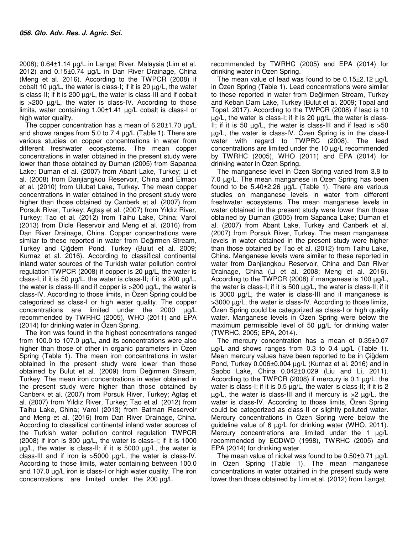2008); 0.64±1.14 µg/L in Langat River, Malaysia (Lim et al. 2012) and 0.15±0.74 µg/L in Dan River Drainage, China (Meng et al. 2016). According to the TWPCR (2008) if cobalt 10  $\mu$ g/L, the water is class-I; if it is 20  $\mu$ g/L, the water is class-II; if it is 200 µg/L, the water is class-III and if cobalt is >200 µg/L, the water is class-IV. According to those limits, water containing 1.00±1.41 µg/L cobalt is class-I or high water quality.

The copper concentration has a mean of 6.20±1.70 µg/L and shows ranges from 5.0 to 7.4 µg/L (Table 1). There are various studies on copper concentrations in water from different freshwater ecosystems. The mean copper concentrations in water obtained in the present study were lower than those obtained by Duman (2005) from Sapanca Lake; Duman et al. (2007) from Abant Lake, Turkey; Li et al. (2008) from Danjiangkou Reservoir, China and Elmacı et al. (2010) from Ulubat Lake, Turkey. The mean copper concentrations in water obtained in the present study were higher than those obtained by Canberk et al. (2007) from Porsuk River, Turkey; Agtaş et al. (2007) from Yıldız River, Turkey; Tao et al. (2012) from Taihu Lake, China; Varol (2013) from Dicle Reservoir and Meng et al. (2016) from Dan River Drainage, China. Copper concentrations were similar to these reported in water from Değirmen Stream, Turkey and Çiğdem Pond, Turkey (Bulut et al. 2009; Kurnaz et al. 2016). According to classifical continental inland water sources of the Turkish water pollution control regulation TWPCR (2008) if copper is 20 µg/L, the water is class-I; if it is 50  $\mu$ g/L, the water is class-II; if it is 200  $\mu$ g/L, the water is class-III and if copper is >200 µg/L, the water is class-IV. According to those limits, in Özen Spring could be categorized as class-I or high water quality. The copper concentrations are limited under the 2000 µg/L recommended by TWRHC (2005), WHO (2011) and EPA (2014) for drinking water in Özen Spring.

The iron was found in the highest concentrations ranged from 100.0 to 107.0 µg/L, and its concentrations were also higher than those of other in organic parameters in Özen Spring (Table 1). The mean iron concentrations in water obtained in the present study were lower than those obtained by Bulut et al. (2009) from Değirmen Stream, Turkey. The mean iron concentrations in water obtained in the present study were higher than those obtained by Canberk et al. (2007) from Porsuk River, Turkey; Agtaş et al. (2007) from Yıldız River, Turkey; Tao et al. (2012) from Taihu Lake, China; Varol (2013) from Batman Reservoir and Meng et al. (2016) from Dan River Drainage, China. According to classifical continental inland water sources of the Turkish water pollution control regulation TWPCR (2008) if iron is 300  $\mu$ g/L, the water is class-I; if it is 1000 µg/L, the water is class-II; if it is 5000 µg/L, the water is class-III and if iron is >5000 µg/L, the water is class-IV. According to those limits, water containing between 100.0 and 107.0 µg/L iron is class-I or high water quality. The iron concentrations are limited under the 200 µg/L

recommended by TWRHC (2005) and EPA (2014) for drinking water in Özen Spring.

The mean value of lead was found to be 0.15±2.12 µg/L in Ozen Spring (Table 1). Lead concentrations were similar to these reported in water from Değirmen Stream, Turkey and Keban Dam Lake, Turkey (Bulut et al. 2009; Topal and Topal, 2017). According to the TWPCR (2008) if lead is 10 µg/L, the water is class-I; if it is 20 µg/L, the water is class-II; if it is 50  $\mu$ g/L, the water is class-III and if lead is  $>50$ µg/L, the water is class-IV. Özen Spring is in the class-I water with regard to TWPRC (2008). The lead concentrations are limited under the 10 µg/L recommended by TWRHC (2005), WHO (2011) and EPA (2014) for drinking water in Özen Spring.

The manganese level in Özen Spring varied from 3.8 to 7.0 µg/L. The mean manganese in Özen Spring has been found to be  $5.40\pm2.26$   $\mu$ g/L (Table 1). There are various studies on manganese levels in water from different freshwater ecosystems. The mean manganese levels in water obtained in the present study were lower than those obtained by Duman (2005) from Sapanca Lake; Duman et al. (2007) from Abant Lake, Turkey and Canberk et al. (2007) from Porsuk River, Turkey. The mean manganese levels in water obtained in the present study were higher than those obtained by Tao et al. (2012) from Taihu Lake, China. Manganese levels were similar to these reported in water from Danjiangkou Reservoir, China and Dan River Drainage, China (Li et al. 2008; Meng et al. 2016). According to the TWPCR (2008) if manganese is 100  $\mu q/L$ , the water is class-I; if it is 500 µg/L, the water is class-II; if it is 3000 µg/L, the water is class-III and if manganese is >3000 µg/L, the water is class-IV. According to those limits, Özen Spring could be categorized as class-I or high quality water. Manganese levels in Ozen Spring were below the maximum permissible level of 50 µg/L for drinking water (TWRHC, 2005; EPA, 2014).

The mercury concentration has a mean of 0.35±0.07  $\mu$ g/L and shows ranges from 0.3 to 0.4  $\mu$ g/L (Table 1). Mean mercury values have been reported to be in Çiğdem Pond, Turkey 0.006±0.004 µg/L (Kurnaz et al. 2016) and in Saobo Lake, China 0.042±0.029 (Liu and Li, 2011). According to the TWPCR (2008) if mercury is 0.1  $\mu$ g/L, the water is class-I; if it is  $0.5 \mu g/L$ , the water is class-II; if it is 2  $\mu$ g/L, the water is class-III and if mercury is  $>2$   $\mu$ g/L, the water is class-IV. According to those limits, Özen Spring could be categorized as class-II or slightly polluted water. Mercury concentrations in Özen Spring were below the guideline value of 6 µg/L for drinking water (WHO, 2011). Mercury concentrations are limited under the 1  $\mu$ g/L recommended by ECDWD (1998), TWRHC (2005) and EPA (2014) for drinking water.

The mean value of nickel was found to be  $0.50\pm0.71$   $\mu$ g/L in Özen Spring (Table 1). The mean manganese concentrations in water obtained in the present study were lower than those obtained by Lim et al. (2012) from Langat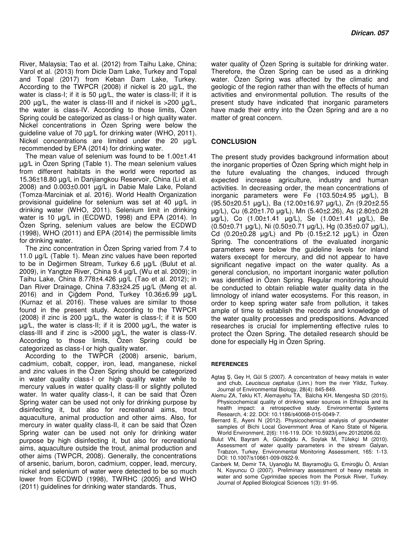River, Malaysia; Tao et al. (2012) from Taihu Lake, China; Varol et al. (2013) from Dicle Dam Lake, Turkey and Topal and Topal (2017) from Keban Dam Lake, Turkey. According to the TWPCR (2008) if nickel is 20 µg/L, the water is class-I; if it is 50 µg/L, the water is class-II; if it is 200 µg/L, the water is class-III and if nickel is >200 µg/L, the water is class-IV. According to those limits, Özen Spring could be categorized as class-I or high quality water. Nickel concentrations in Özen Spring were below the guideline value of 70 µg/L for drinking water (WHO, 2011). Nickel concentrations are limited under the 20 µg/L recommended by EPA (2014) for drinking water.

The mean value of selenium was found to be 1.00±1.41 µg/L in Özen Spring (Table 1). The mean selenium values from different habitats in the world were reported as 15.36±18.80 µg/L in Danjiangkou Reservoir, China (Li et al. 2008) and 0.003±0.001 µg/L in Dabie Male Lake, Poland (Tomza-Marciniak et al. 2016). World Health Organization provisional guideline for selenium was set at 40 µg/L in drinking water (WHO, 2011). Selenium limit in drinking water is 10 µg/L in (ECDWD, 1998) and EPA (2014). In Özen Spring, selenium values are below the ECDWD (1998), WHO (2011) and EPA (2014) the permissible limits for drinking water.

The zinc concentration in Özen Spring varied from 7.4 to 11.0 µg/L (Table 1). Mean zinc values have been reported to be in Değirmen Stream, Turkey 6.6 µg/L (Bulut et al. 2009), in Yangtze River, China 9.4 µg/L (Wu et al. 2009); in Taihu Lake, China 8.778±4.426 µg/L (Tao et al. 2012); in Dan River Drainage, China 7.83±24.25 µg/L (Meng et al. 2016) and in Çiğdem Pond, Turkey 10.36±6.99 µg/L (Kurnaz et al. 2016). These values are similar to those found in the present study. According to the TWPCR (2008) if zinc is 200 µg/L, the water is class-I; if it is 500  $\mu$ g/L, the water is class-II; if it is 2000  $\mu$ g/L, the water is class-III and if zinc is >2000 µg/L, the water is class-IV. According to those limits, Özen Spring could be categorized as class-I or high quality water.

According to the TWPCR (2008) arsenic, barium, cadmium, cobalt, copper, iron, lead, manganese, nickel and zinc values in the Özen Spring should be categorized in water quality class-I or high quality water while to mercury values in water quality class-II or slightly polluted water. In water quality class-I, it can be said that Ozen Spring water can be used not only for drinking purpose by disinfecting it, but also for recreational aims, trout aquaculture, animal production and other aims. Also, for mercury in water quality class-II, it can be said that Özen Spring water can be used not only for drinking water purpose by high disinfecting it, but also for recreational aims, aquaculture outside the trout, animal production and other aims (TWPCR, 2008). Generally, the concentrations of arsenic, barium, boron, cadmium, copper, lead, mercury, nickel and selenium of water were detected to be so much lower from ECDWD (1998), TWRHC (2005) and WHO (2011) guidelines for drinking water standards. Thus,

water quality of Özen Spring is suitable for drinking water. Therefore, the Özen Spring can be used as a drinking water. Özen Spring was affected by the climatic and geologic of the region rather than with the effects of human activities and environmental pollution. The results of the present study have indicated that inorganic parameters have made their entry into the Özen Spring and are a no matter of great concern.

#### **CONCLUSION**

The present study provides background information about the inorganic properties of Özen Spring which might help in the future evaluating the changes, induced through expected increase agriculture, industry and human activities. In decreasing order, the mean concentrations of inorganic parameters were Fe (103.50±4.95 µg/L), B (95.50±20.51 µg/L), Ba (12.00±16.97 µg/L), Zn (9.20±2.55 µg/L), Cu (6.20±1.70 µg/L), Mn (5.40±2.26), As (2.80±0.28 µg/L), Co (1.00±1.41 µg/L), Se (1.00±1.41 µg/L), Be (0.50±0.71 µg/L), Ni (0.50±0.71 µg/L), Hg (0.35±0.07 µg/L), Cd  $(0.20 \pm 0.28 \text{ µg/L})$  and Pb  $(0.15 \pm 2.12 \text{ µg/L})$  in Özen Spring. The concentrations of the evaluated inorganic parameters were below the guideline levels for inland waters execept for mercury, and did not appear to have significant negative impact on the water quality. As a general conclusion, no important inorganic water pollution was identified in Ozen Spring. Regular monitoring should be conducted to obtain reliable water quality data in the limnology of inland water ecosystems. For this reason, in order to keep spring water safe from pollution, it takes ample of time to establish the records and knowledge of the water quality processes and predispositions. Advanced researches is crucial for implementing effective rules to protect the Özen Spring. The detailed research should be done for especially Hg in Özen Spring.

#### **REFERENCES**

- Agtaş Ş, Gey H, Gül S (2007). A concentration of heavy metals in water and chub, Leuciscus cephalus (Linn.) from the river Yildiz, Turkey. Journal of Environmental Biology, 28(4): 845-849.
- Alemu ZA, Teklu KT, Alemayehu TA, Balcha KH, Mengesha SD (2015). Physicochemical quality of drinking water sources in Ethiopia and its health impact: a retrospective study. Environmental Systems Research, 4: 22. DOI: 10.1186/s40068-015-0049-7.
- Bernard E, Ayeni N (2012). Physicochemical analysis of groundwater samples of Bichi Local Government Area of Kano State of Nigeria. World Environment, 2(6): 116-119. DOI: 10.5923/j.env.20120206.02.
- Bulut VN, Bayram A, Gündoğdu A, Soylak M, Tüfekçi M (2010). Assessment of water quality parameters in the stream Galyan, Trabzon, Turkey. Environmental Monitoring Assessment, 165: 1-13. DOI: 10.1007/s10661-009-0922-9.
- Canberk M, Demir TA, Uyanoğlu M, Bayramoğlu G, Emiroğlu Ö, Arslan N, Koyuncu O (2007). Preliminary assessment of heavy metals in water and some Cyprinidae species from the Porsuk River, Turkey. Journal of Applied Biological Sciences 1(3): 91-95.